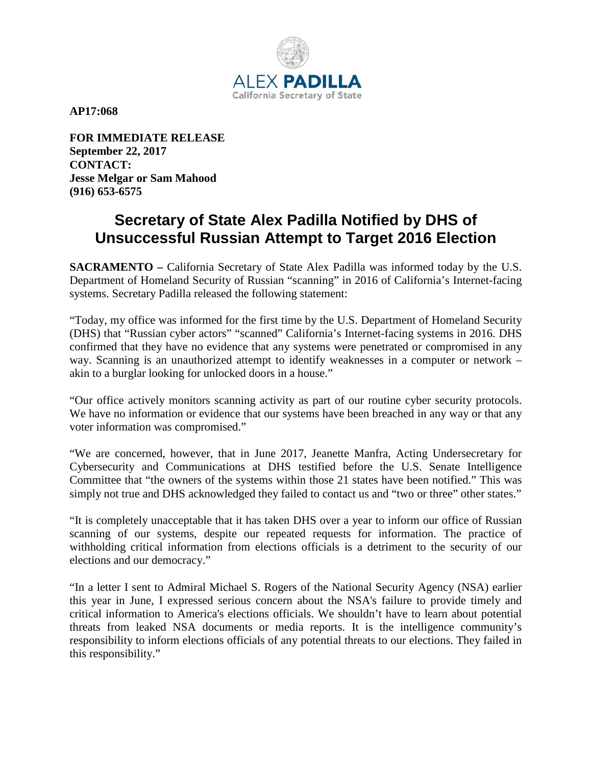

**AP17:068** 

**FOR IMMEDIATE RELEASE September 22, 2017 CONTACT: Jesse Melgar or Sam Mahood (916) 653-6575** 

## **Secretary of State Alex Padilla Notified by DHS of Unsuccessful Russian Attempt to Target 2016 Election**

**SACRAMENTO –** California Secretary of State Alex Padilla was informed today by the U.S. Department of Homeland Security of Russian "scanning" in 2016 of California's Internet-facing systems. Secretary Padilla released the following statement:

"Today, my office was informed for the first time by the U.S. Department of Homeland Security (DHS) that "Russian cyber actors" "scanned" California's Internet-facing systems in 2016. DHS confirmed that they have no evidence that any systems were penetrated or compromised in any way. Scanning is an unauthorized attempt to identify weaknesses in a computer or network – akin to a burglar looking for unlocked doors in a house."

"Our office actively monitors scanning activity as part of our routine cyber security protocols. We have no information or evidence that our systems have been breached in any way or that any voter information was compromised."

"We are concerned, however, that in June 2017, Jeanette Manfra, Acting Undersecretary for Cybersecurity and Communications at DHS testified before the U.S. Senate Intelligence Committee that "the owners of the systems within those 21 states have been notified." This was simply not true and DHS acknowledged they failed to contact us and "two or three" other states."

"It is completely unacceptable that it has taken DHS over a year to inform our office of Russian scanning of our systems, despite our repeated requests for information. The practice of withholding critical information from elections officials is a detriment to the security of our elections and our democracy."

"In a letter I sent to Admiral Michael S. Rogers of the National Security Agency (NSA) earlier this year in June, I expressed serious concern about the NSA's failure to provide timely and critical information to America's elections officials. We shouldn't have to learn about potential threats from leaked NSA documents or media reports. It is the intelligence community's responsibility to inform elections officials of any potential threats to our elections. They failed in this responsibility."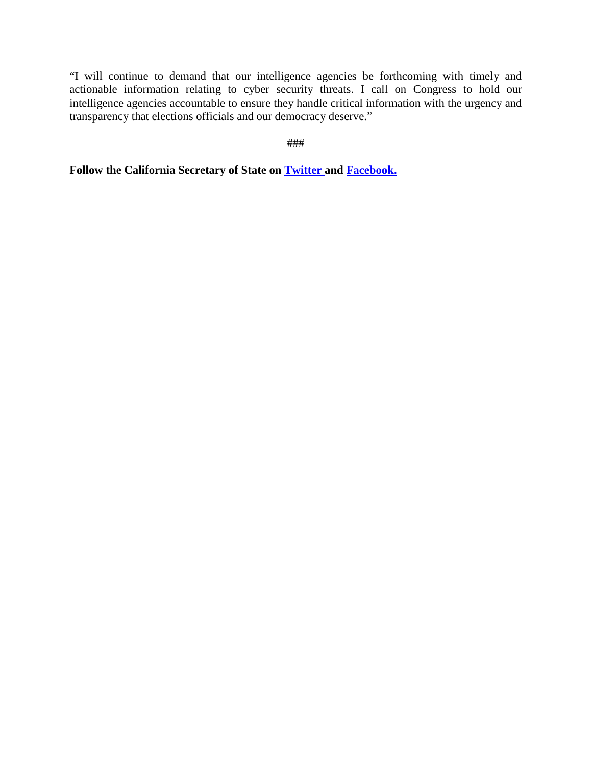"I will continue to demand that our intelligence agencies be forthcoming with timely and actionable information relating to cyber security threats. I call on Congress to hold our intelligence agencies accountable to ensure they handle critical information with the urgency and transparency that elections officials and our democracy deserve."

###

**Follow the California Secretary of State on [Twitter](https://twitter.com/CASOSvote) and [Facebook.](https://www.facebook.com/CaliforniaSOS/)**